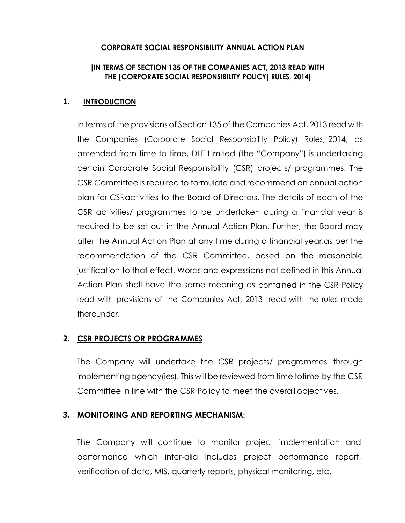#### **CORPORATE SOCIAL RESPONSIBILITY ANNUAL ACTION PLAN**

#### **[IN TERMS OF SECTION 135 OF THE COMPANIES ACT, 2013 READ WITH THE (CORPORATE SOCIAL RESPONSIBILITY POLICY) RULES, 2014]**

#### **1. INTRODUCTION**

In terms of the provisions of Section 135 of the Companies Act, 2013 read with the Companies (Corporate Social Responsibility Policy) Rules, 2014, as amended from time to time, DLF Limited (the "Company") is undertaking certain Corporate Social Responsibility (CSR) projects/ programmes. The CSR Committee is required to formulate and recommend an annual action plan for CSRactivities to the Board of Directors. The details of each of the CSR activities/ programmes to be undertaken during a financial year is required to be set-out in the Annual Action Plan. Further, the Board may alter the Annual Action Plan at any time during a financial year,as per the recommendation of the CSR Committee, based on the reasonable justification to that effect. Words and expressions not defined in this Annual Action Plan shall have the same meaning as contained in the CSR Policy read with provisions of the Companies Act, 2013 read with the rules made thereunder.

## **2. CSR PROJECTS OR PROGRAMMES**

The Company will undertake the CSR projects/ programmes through implementing agency(ies). This will be reviewed from time totime by the CSR Committee in line with the CSR Policy to meet the overall objectives.

## **3. MONITORING AND REPORTING MECHANISM:**

The Company will continue to monitor project implementation and performance which inter-alia includes project performance report, verification of data, MIS, quarterly reports, physical monitoring, etc.